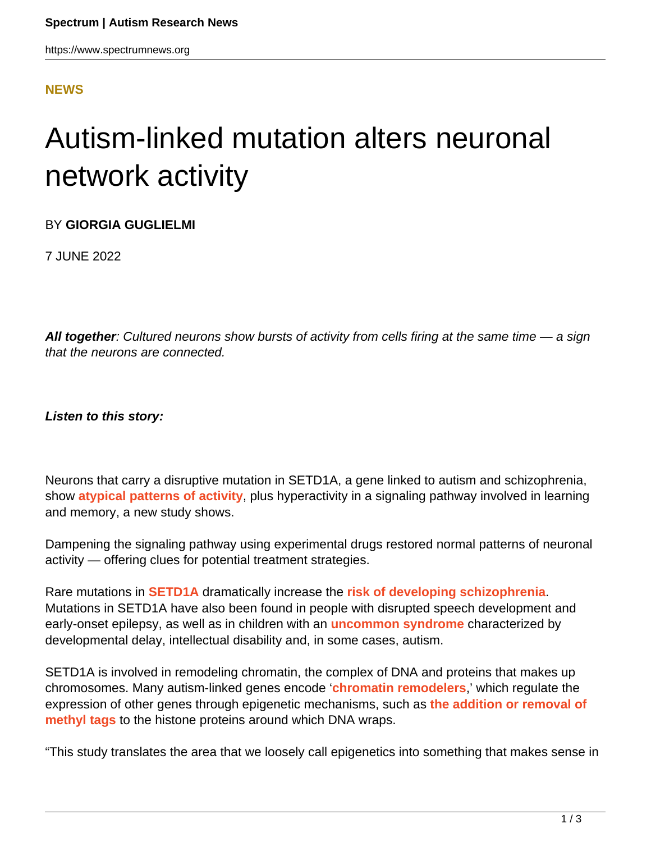## **[NEWS](HTTPS://WWW.SPECTRUMNEWS.ORG/NEWS/)**

## Autism-linked mutation alters neuronal network activity

BY **GIORGIA GUGLIELMI**

7 JUNE 2022

**All together**: Cultured neurons show bursts of activity from cells firing at the same time — a sign that the neurons are connected.

**Listen to this story:**

Neurons that carry a disruptive mutation in SETD1A, a gene linked to autism and schizophrenia, show **[atypical patterns of activity](https://doi.org/10.1016/j.celrep.2022.110790)**, plus hyperactivity in a signaling pathway involved in learning and memory, a new study shows.

Dampening the signaling pathway using experimental drugs restored normal patterns of neuronal activity — offering clues for potential treatment strategies.

Rare mutations in **[SETD1A](https://gene.sfari.org/database/human-gene/SETD1A)** dramatically increase the **[risk of developing schizophrenia](https://doi.org/10.1038/nn.4267)**. Mutations in SETD1A have also been found in people with disrupted speech development and early-onset epilepsy, as well as in children with an **[uncommon syndrome](https://doi.org/10.1038/s41380-020-0725-5)** characterized by developmental delay, intellectual disability and, in some cases, autism.

SETD1A is involved in remodeling chromatin, the complex of DNA and proteins that makes up chromosomes. Many autism-linked genes encode '**[chromatin remodelers](https://www.spectrumnews.org/news/autisms-link-to-chromatin-remodeling-explained/)**,' which regulate the expression of other genes through epigenetic mechanisms, such as **[the addition or removal of](https://www.spectrumnews.org/news/dna-methylation-in-autism-explained/) [methyl tags](https://www.spectrumnews.org/news/dna-methylation-in-autism-explained/)** to the histone proteins around which DNA wraps.

"This study translates the area that we loosely call epigenetics into something that makes sense in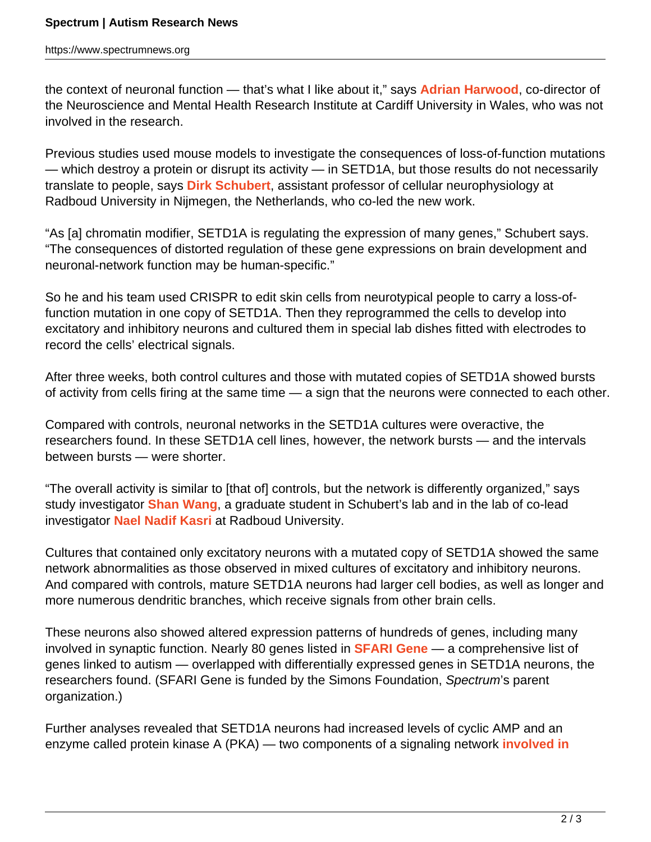the context of neuronal function — that's what I like about it," says **[Adrian Harwood](https://www.cardiff.ac.uk/people/view/58043-harwood-adrian)**, co-director of the Neuroscience and Mental Health Research Institute at Cardiff University in Wales, who was not involved in the research.

Previous studies used mouse models to investigate the consequences of loss-of-function mutations — which destroy a protein or disrupt its activity — in SETD1A, but those results do not necessarily translate to people, says **[Dirk Schubert](https://www.ru.nl/english/people/schubert-d/)**, assistant professor of cellular neurophysiology at Radboud University in Nijmegen, the Netherlands, who co-led the new work.

"As [a] chromatin modifier, SETD1A is regulating the expression of many genes," Schubert says. "The consequences of distorted regulation of these gene expressions on brain development and neuronal-network function may be human-specific."

So he and his team used CRISPR to edit skin cells from neurotypical people to carry a loss-offunction mutation in one copy of SETD1A. Then they reprogrammed the cells to develop into excitatory and inhibitory neurons and cultured them in special lab dishes fitted with electrodes to record the cells' electrical signals.

After three weeks, both control cultures and those with mutated copies of SETD1A showed bursts of activity from cells firing at the same time — a sign that the neurons were connected to each other.

Compared with controls, neuronal networks in the SETD1A cultures were overactive, the researchers found. In these SETD1A cell lines, however, the network bursts — and the intervals between bursts — were shorter.

"The overall activity is similar to [that of] controls, but the network is differently organized," says study investigator **[Shan Wang](https://www.schubert-neurolab.org/our-team.html)**, a graduate student in Schubert's lab and in the lab of co-lead investigator **[Nael Nadif Kasri](http://nadifkasri-lab.com/People.html)** at Radboud University.

Cultures that contained only excitatory neurons with a mutated copy of SETD1A showed the same network abnormalities as those observed in mixed cultures of excitatory and inhibitory neurons. And compared with controls, mature SETD1A neurons had larger cell bodies, as well as longer and more numerous dendritic branches, which receive signals from other brain cells.

These neurons also showed altered expression patterns of hundreds of genes, including many involved in synaptic function. Nearly 80 genes listed in **[SFARI Gene](http://gene.sfari.org/)** — a comprehensive list of genes linked to autism — overlapped with differentially expressed genes in SETD1A neurons, the researchers found. (SFARI Gene is funded by the Simons Foundation, Spectrum's parent organization.)

Further analyses revealed that SETD1A neurons had increased levels of cyclic AMP and an enzyme called protein kinase A (PKA) — two components of a signaling network **[involved in](https://www.spectrumnews.org/news/diverse-paths-autism-may-converge-shared-cellular-features/)**